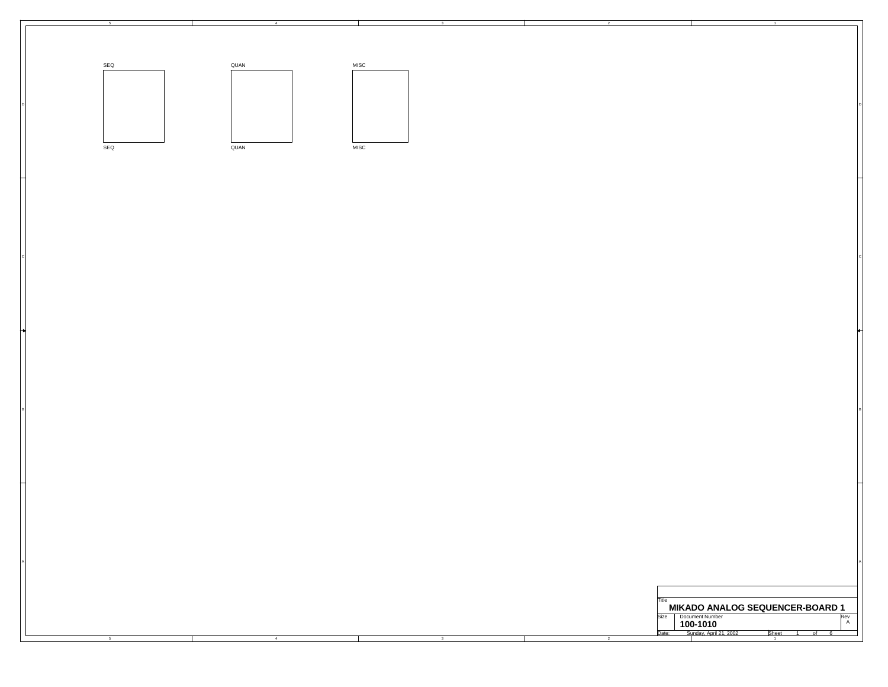

4

3

┱

A

C CONTROL CONTROL CONTROL CONTROL CONTROL CONTROL CONTROL CONTROL CONTROL CONTROL CONTROL CONTROL CONTROL CONTROL CONTROL CONTROL CONTROL CONTROL CONTROL CONTROL CONTROL CONTROL CONTROL CONTROL CONTROL CONTROL CONTROL CONT

B BOX 2006 FOR THE RESEARCH CHARGES IN THE RESEARCH CHARGES IN THE RESEARCH CHARGES IN THE RESEARCH CHARGES IN

5

| Title |                                                                       |  |  |          |
|-------|-----------------------------------------------------------------------|--|--|----------|
|       |                                                                       |  |  |          |
| Size  | <b>MIKADO ANALOG SEQUENCER-BOARD 1</b><br>Document Number<br>100-1010 |  |  | Rev<br>А |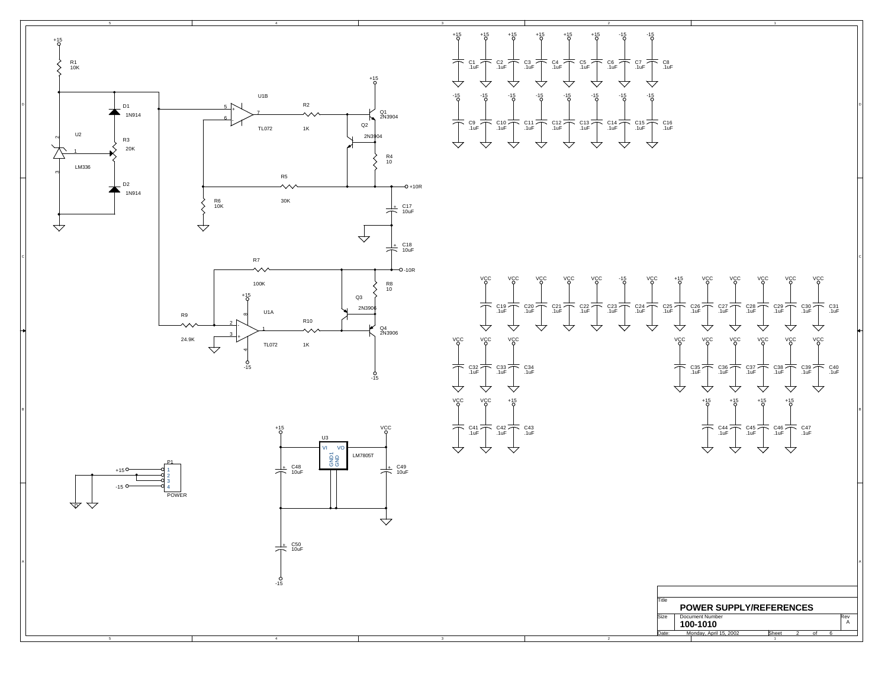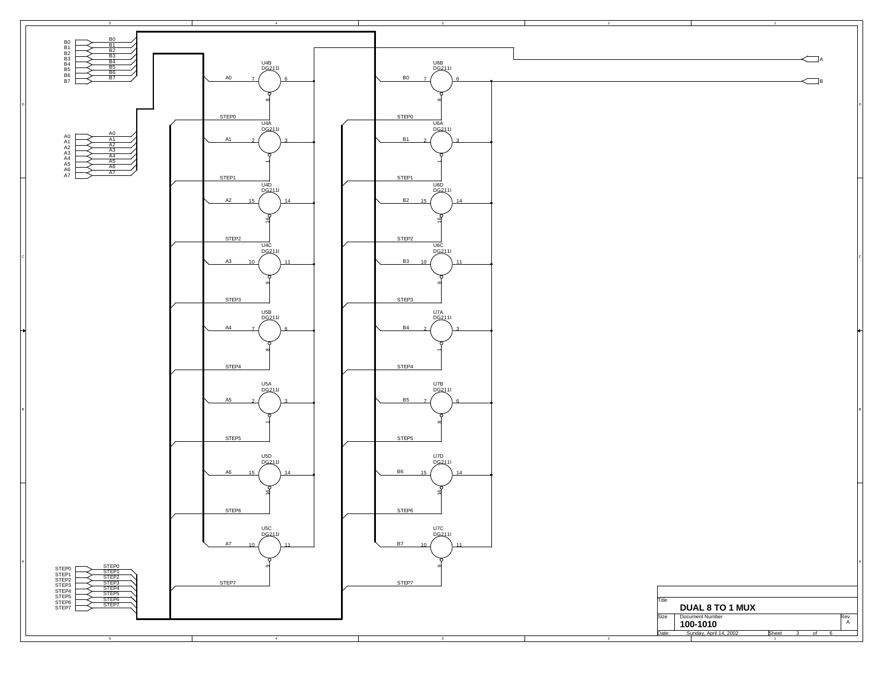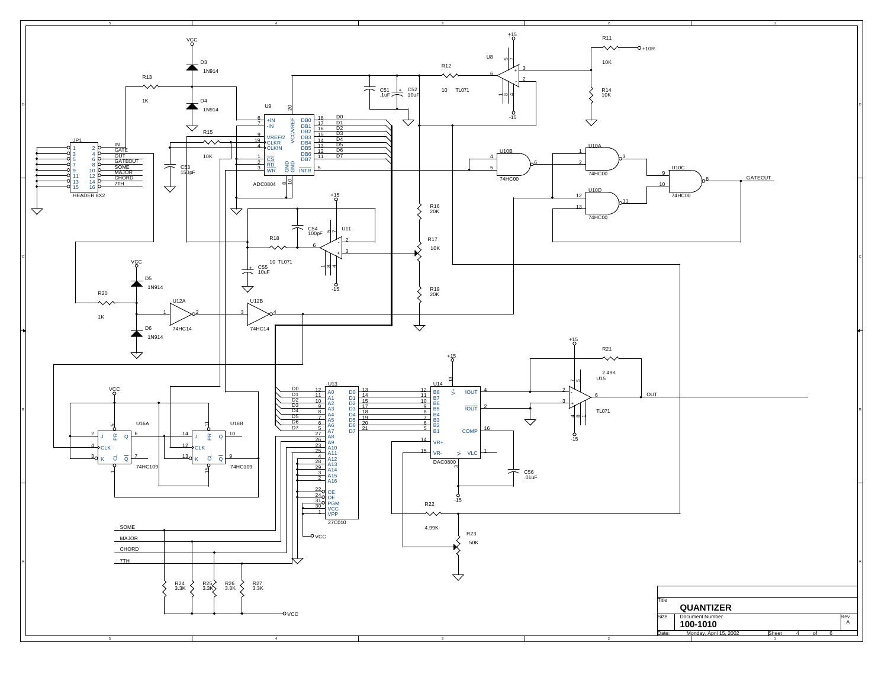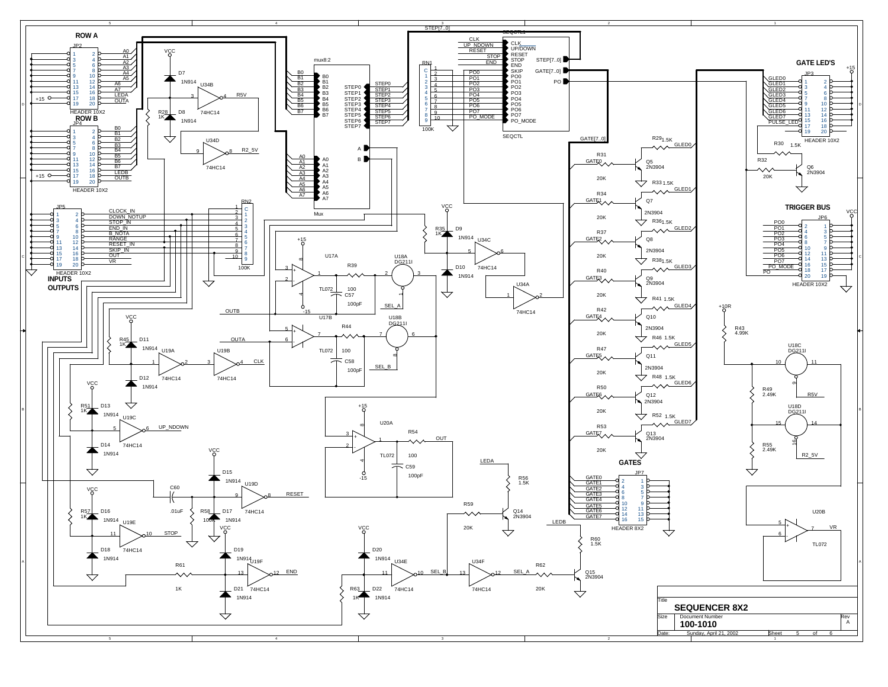